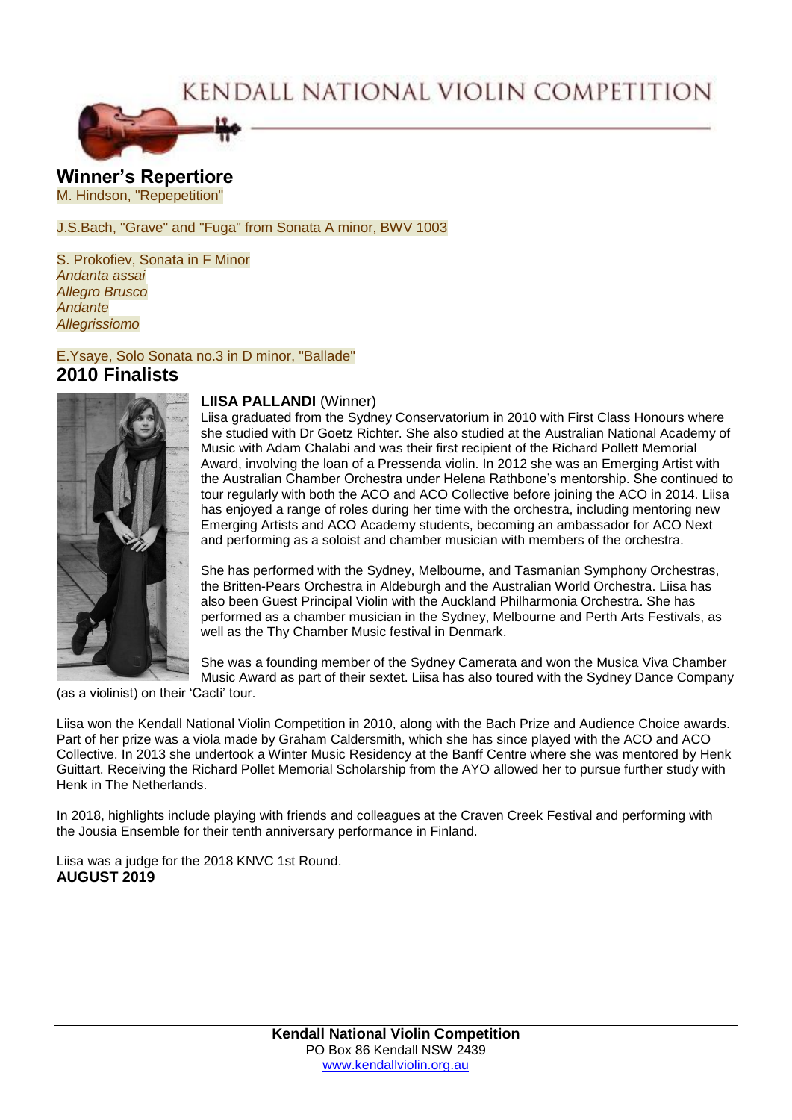# KENDALL NATIONAL VIOLIN COMPETITION



**Winner's Repertiore** M. Hindson, "Repepetition"

#### J.S.Bach, "Grave" and "Fuga" from Sonata A minor, BWV 1003

S. Prokofiev, Sonata in F Minor *Andanta assai Allegro Brusco Andante Allegrissiomo*

### E.Ysaye, Solo Sonata no.3 in D minor, "Ballade" **2010 Finalists**



#### **LIISA PALLANDI** (Winner)

Liisa graduated from the Sydney Conservatorium in 2010 with First Class Honours where she studied with Dr Goetz Richter. She also studied at the Australian National Academy of Music with Adam Chalabi and was their first recipient of the Richard Pollett Memorial Award, involving the loan of a Pressenda violin. In 2012 she was an Emerging Artist with the Australian Chamber Orchestra under Helena Rathbone's mentorship. She continued to tour regularly with both the ACO and ACO Collective before joining the ACO in 2014. Liisa has enjoyed a range of roles during her time with the orchestra, including mentoring new Emerging Artists and ACO Academy students, becoming an ambassador for ACO Next and performing as a soloist and chamber musician with members of the orchestra.

She has performed with the Sydney, Melbourne, and Tasmanian Symphony Orchestras, the Britten-Pears Orchestra in Aldeburgh and the Australian World Orchestra. Liisa has also been Guest Principal Violin with the Auckland Philharmonia Orchestra. She has performed as a chamber musician in the Sydney, Melbourne and Perth Arts Festivals, as well as the Thy Chamber Music festival in Denmark.

She was a founding member of the Sydney Camerata and won the Musica Viva Chamber Music Award as part of their sextet. Liisa has also toured with the Sydney Dance Company

(as a violinist) on their 'Cacti' tour.

Liisa won the Kendall National Violin Competition in 2010, along with the Bach Prize and Audience Choice awards. Part of her prize was a viola made by Graham Caldersmith, which she has since played with the ACO and ACO Collective. In 2013 she undertook a Winter Music Residency at the Banff Centre where she was mentored by Henk Guittart. Receiving the Richard Pollet Memorial Scholarship from the AYO allowed her to pursue further study with Henk in The Netherlands.

In 2018, highlights include playing with friends and colleagues at the Craven Creek Festival and performing with the Jousia Ensemble for their tenth anniversary performance in Finland.

Liisa was a judge for the 2018 KNVC 1st Round. **AUGUST 2019**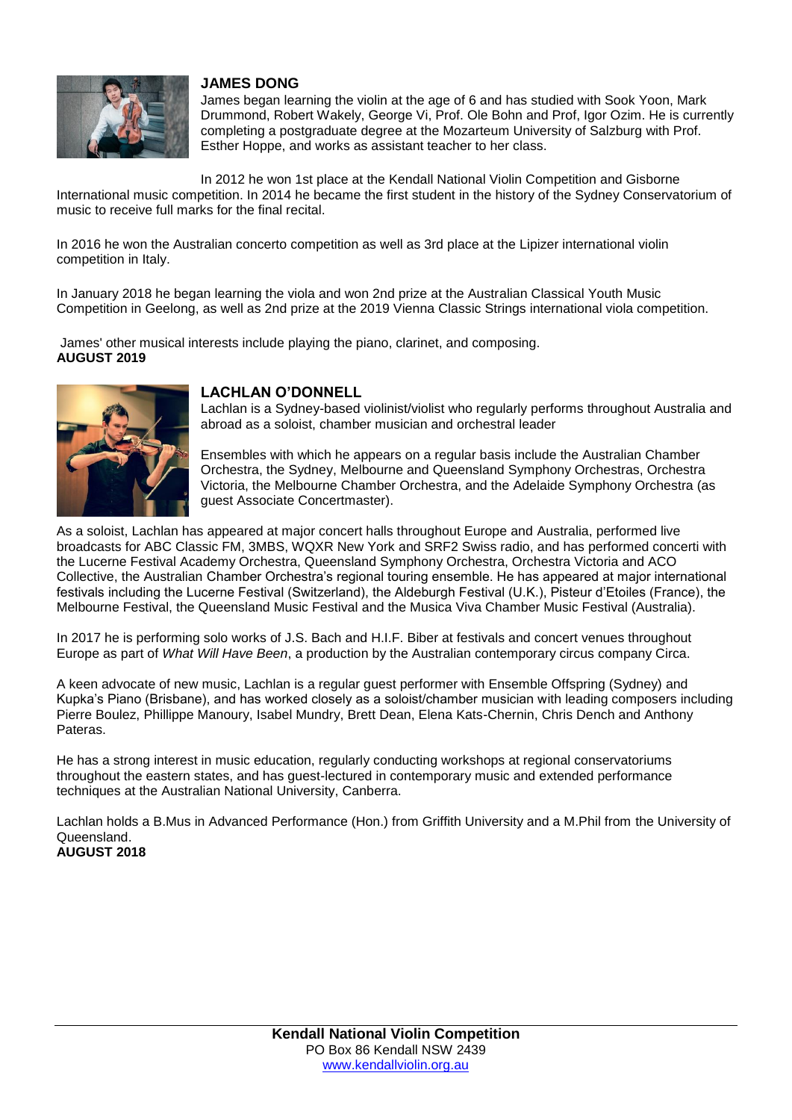

# **JAMES DONG**

James began learning the violin at the age of 6 and has studied with Sook Yoon, Mark Drummond, Robert Wakely, George Vi, Prof. Ole Bohn and Prof, Igor Ozim. He is currently completing a postgraduate degree at the Mozarteum University of Salzburg with Prof. Esther Hoppe, and works as assistant teacher to her class.

In 2012 he won 1st place at the Kendall National Violin Competition and Gisborne International music competition. In 2014 he became the first student in the history of the Sydney Conservatorium of music to receive full marks for the final recital.

In 2016 he won the Australian concerto competition as well as 3rd place at the Lipizer international violin competition in Italy.

In January 2018 he began learning the viola and won 2nd prize at the Australian Classical Youth Music Competition in Geelong, as well as 2nd prize at the 2019 Vienna Classic Strings international viola competition.

James' other musical interests include playing the piano, clarinet, and composing. **AUGUST 2019**



# **LACHLAN O'DONNELL**

Lachlan is a Sydney-based violinist/violist who regularly performs throughout Australia and abroad as a soloist, chamber musician and orchestral leader

Ensembles with which he appears on a regular basis include the Australian Chamber Orchestra, the Sydney, Melbourne and Queensland Symphony Orchestras, Orchestra Victoria, the Melbourne Chamber Orchestra, and the Adelaide Symphony Orchestra (as guest Associate Concertmaster).

As a soloist, Lachlan has appeared at major concert halls throughout Europe and Australia, performed live broadcasts for ABC Classic FM, 3MBS, WQXR New York and SRF2 Swiss radio, and has performed concerti with the Lucerne Festival Academy Orchestra, Queensland Symphony Orchestra, Orchestra Victoria and ACO Collective, the Australian Chamber Orchestra's regional touring ensemble. He has appeared at major international festivals including the Lucerne Festival (Switzerland), the Aldeburgh Festival (U.K.), Pisteur d'Etoiles (France), the Melbourne Festival, the Queensland Music Festival and the Musica Viva Chamber Music Festival (Australia).

In 2017 he is performing solo works of J.S. Bach and H.I.F. Biber at festivals and concert venues throughout Europe as part of *What Will Have Been*, a production by the Australian contemporary circus company Circa.

A keen advocate of new music, Lachlan is a regular guest performer with Ensemble Offspring (Sydney) and Kupka's Piano (Brisbane), and has worked closely as a soloist/chamber musician with leading composers including Pierre Boulez, Phillippe Manoury, Isabel Mundry, Brett Dean, Elena Kats-Chernin, Chris Dench and Anthony Pateras.

He has a strong interest in music education, regularly conducting workshops at regional conservatoriums throughout the eastern states, and has guest-lectured in contemporary music and extended performance techniques at the Australian National University, Canberra.

Lachlan holds a B.Mus in Advanced Performance (Hon.) from Griffith University and a M.Phil from the University of Queensland. **AUGUST 2018**